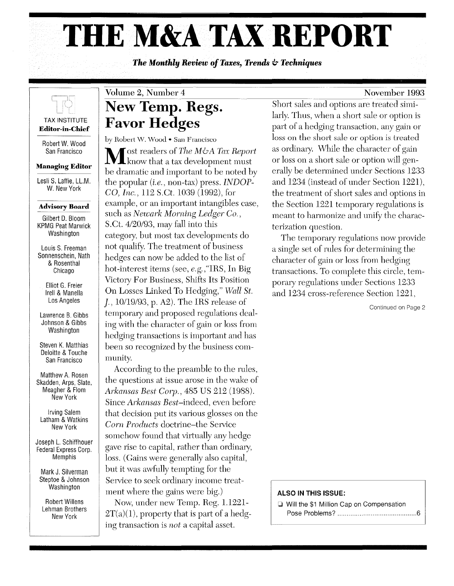# **THE M&A TAX REPORT**

*The Monthly Review of Taxes, Trends* **&** *Techniques* 

## November 1993

## TAX INSTITUTE

**Editor-in-Chief** 

Robert W. Wood San Francisco

## **Managing Editor**

Lesli S. Laffie, LL.M. W. New York

## **Advisory Board**

Gilbert D. Bloom KPMG Peat Marwick Washington

Louis S. Freeman Sonnenschein, Nath & Rosenthal Chicago

> Elliot G. Freier Irell & Manella Los Angeles

Lawrence B. Gibbs Johnson & Gibbs **Washington** 

Steven K. Matthias Deloitte & Touche San Francisco

Matthew A. Rosen Skadden, Arps, Slate, Meagher & Flom New York

Irving Salem Latham & Watkins New York

Joseph L. Schiffhouer Federal Express Corp. Memphis

Mark J. Silverman Steptoe & Johnson **Washington** 

Robert Willens Lehman Brothers New York

## Volume 2, Number 4  $\frac{4}{\mathbf{R}}$ **New Temp. Regs. Favor Hedges**

by Robert W. Wood • San Francisco

**Fost readers of** *The M&A Tax Report* know that a tax development must be dramatic and important to be noted by the popular *(i.e.,* non-tax) press. *INDOP-CO, Inc.,* 112 S.Ct. 1039 (1992), for example, or an important intangibles case, such as *Newark Morning Ledger Co.,*  S.Ct. *4120/93,* may fall into this category, but most tax developments do not qualify. The treatment of business hedges can now be added to the list of hot-interest items (see, *e.g.* ,"IRS, In Big Victory For Business, Shifts Its Position On Losses Linked To Hedging," Wall St. *j., 10119/93,* p. A2). The IRS release of temporary and proposed regulations dealing with the character of gain or loss from hedging transactions is important and has been so recognized by the business community.

According to the preamble to the rules, the questions at issue arose in the wake of *Arkansas Best Corp.,* 485 US 212 (1988). Since *Arkansas Best-indeed,* even before that decision put its various glosses on the *Corn Products* doctrine-the Service somehow found that virtually any hedge gave rise to capital, rather than ordinary, loss. (Gains were generally also capital, but it was awfully tempting for the Service to seek ordinary income treatment where the gains were big.) Now, under new Temp. Reg. 1.1221-

 $2T(a)(1)$ , property that is part of a hedging transaction is *not* a capital asset.

Short sales and options are treated similarly. Thus, when a short sale or option is part of a hedging transaction, any gain or loss on the short sale or option is treated as ordinary. vVhile the character of gain or loss on a short sale or option will generally be determined under Sections 1233 and 1234 (instead of under Section 1221), the treatment of short sales and options in the Section 1221 temporary regulations is meant to harmonize and unify the characterization question.

The temporary regulations now provide a single set of rules for determining the character of gain or loss from hedging transactions. To complete this circle, temporary regulations under Sections 1233 and 1234 cross-reference Section 1221,

Continued on Page 2

## **ALSO IN THIS ISSUE:**

o Will the \$1 Million Cap on Compensation Pose Problems? ........................................... 6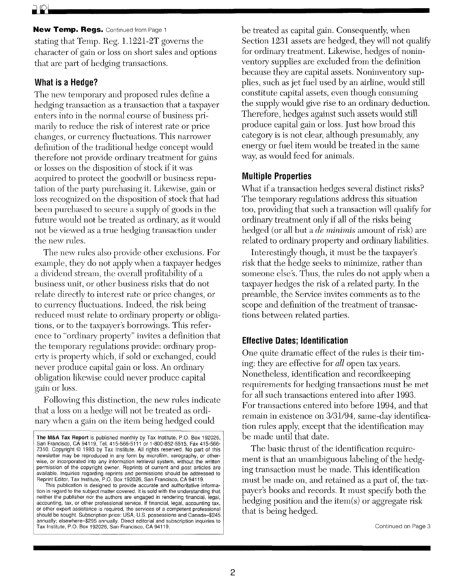### **New Temp. Regs. Continued from Page 1**

stating that Temp. Reg. 1. 1221-2T governs the character of gain or loss on short sales and options that are part of hedging transactions.

## **What is a Hedge?**

The new temporary and proposed rules define a hedging transaction as a transaction that a taxpayer enters into in the normal course of business primarily to reduce the risk of interest rate or price changes, or currency fluctuations. This narrower definition of the traditional hedge concept would therefore not provide ordinary treatment for gains or losses on the disposition of stock if it was acquired to protect the goodwill or business reputation of the party purchasing it. Likewise, gain or loss recognized on the disposition of stock that had been purchased to secure a supply of goods in the future would not be treated as ordinary, as it would not be viewed as a true hedging transaction under the new rules.

The new rules also provide other exclusions. For example, they do not apply when a taxpayer hedges a dividend stream, the overall profitability of a business unit, or other business risks that do not relate directly to interest rate or price changes, or to currency fluctuations. Indeed, the risk being reduced must relate to ordinary property or obligations, or to the taxpayer's borrowings. This reference to "ordinary property" invites a definition that the temporary regulations provide: ordinary property is property which, if sold or exchanged, could never produce capital gain or loss. An ordinary obligation likewise could never produce capital gain or loss.

Following this distinction, the new rules indicate that a loss on a hedge will not be treated as ordinary when a gain on the item being hedged could

be treated as capital gain. Consequently, when Section 1231 assets are hedged, they will not qualify for ordinary treatment. Likewise, hedges of noninventory supplies are excluded from the definition because they are capital assets. Noninventory supplies, such as jet fuel used by an airline, would still constitute capital assets, even though consuming the supply would give rise to an ordinary deduction. Therefore, hedges against such assets would still produce capital gain or loss. Just how broad this category is is not clear, although presumably, any energy or fuel item would be treated in the same way, as would feed for animals.

## **Multiple Properties**

What if a transaction hedges several distinct risks? The temporary regulations address this situation too, providing that such a transaction will qualify for ordinary treatment only if all of the risks being hedged (or all but a *de minimis* amount of risk) are related to ordinary property and ordinary liabilities.

Interestingly though, it must be the taxpayer's risk that the hedge seeks to minimize, rather than someone else's. Thus, the rules do not apply when a taxpayer hedges the risk of a related party. In the preamble, the Service invites comments as to the scope and definition of the treatment of transactions between related parties.

## **Effective Dates; Identification**

One quite dramatic effect of the rules is their timing: they are effective for *all* open tax years. Nonetheless, identification and recordkeeping requirements for hedging transactions must be met for all such transactions entered into after 1993. For transactions entered into before 1994, and that remain in existence on 3/31/94, same-day identification rules apply, except that the identification may be made until that date.

The basic thrust of the identification requirement is that an unambiguous labeling of the hedging transaction must be made, This identification must be made on, and retained as a part of, the taxpayer's books and records. It must specify both the hedging position and the item $(s)$  or aggregate risk that is being hedged.

The M&A Tax Report is published monthly by Tax Institute, P.O. Box 192026, San Francisco, CA 94119. Tel. 415-566-5111 or 1-800-852-5515, Fax 415-566- 7310. Copyright © 1993 by Tax Institute. All rights reserved. No part of this newsletter may be reproduced in any form by microfilm, xerography, or otherwise, or incorporated into any information retrieval system, without the written permission of the copyright owner. Reprints of current and past articles are available. Inquiries regarding reprints and permissions should be addressed to Reprint Editor, Tax Institute, P.O. Box 192026, San Francisco, CA 94119.

This publication is designed to provide accurate and authoritative information in regard to the subject matter covered. It is sold with the understanding that neither the publisher nor the authors are engaged in rendering financial, legal, accounting, tax, or other professional service. If financial, legal, accounting tax, or other expert assistance is required, the services of a competent professional should be sought. Subscription price: USA, U.S. possessions and Canada-\$245 annually; elsewhere-\$295 annually. Direct editorial and subscription inquiries to Tax Institute, P.O. Box 192026, San Francisco, CA 94119.